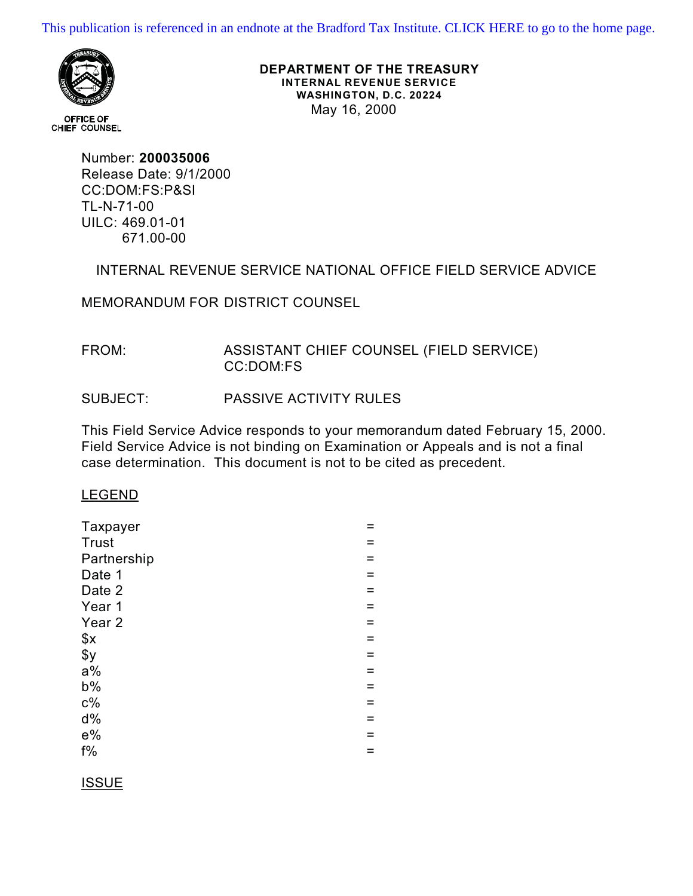[This publication is referenced in an endnote at the Bradford Tax Institute. CLICK HERE to go to the home page.](http://www.bradfordtaxinstitute.com/)



**OFFICE OF** CHIEF COUNSEL **DEPARTMENT OF THE TREASURY INTERNAL REVENUE SERVICE WASHINGTON, D.C. 20224** May 16, 2000

Number: **200035006** Release Date: 9/1/2000 CC:DOM:FS:P&SI TL-N-71-00 UILC: 469.01-01 671.00-00

INTERNAL REVENUE SERVICE NATIONAL OFFICE FIELD SERVICE ADVICE

MEMORANDUM FOR DISTRICT COUNSEL

# FROM: ASSISTANT CHIEF COUNSEL (FIELD SERVICE) CC:DOM:FS

# SUBJECT: PASSIVE ACTIVITY RULES

This Field Service Advice responds to your memorandum dated February 15, 2000. Field Service Advice is not binding on Examination or Appeals and is not a final case determination. This document is not to be cited as precedent.

### LEGEND

| Taxpayer          |     |
|-------------------|-----|
| <b>Trust</b>      |     |
| Partnership       | =   |
| Date 1            |     |
| Date 2            | $=$ |
| Year 1            | $=$ |
| Year <sub>2</sub> | $=$ |
| \$x               | $=$ |
| \$y               | =   |
| $a\%$             |     |
| $b\%$             | $=$ |
| $c\%$             | Ξ   |
| $d\%$             | $=$ |
| $e\%$             | $=$ |
| $f\%$             | =   |
|                   |     |

### ISSUE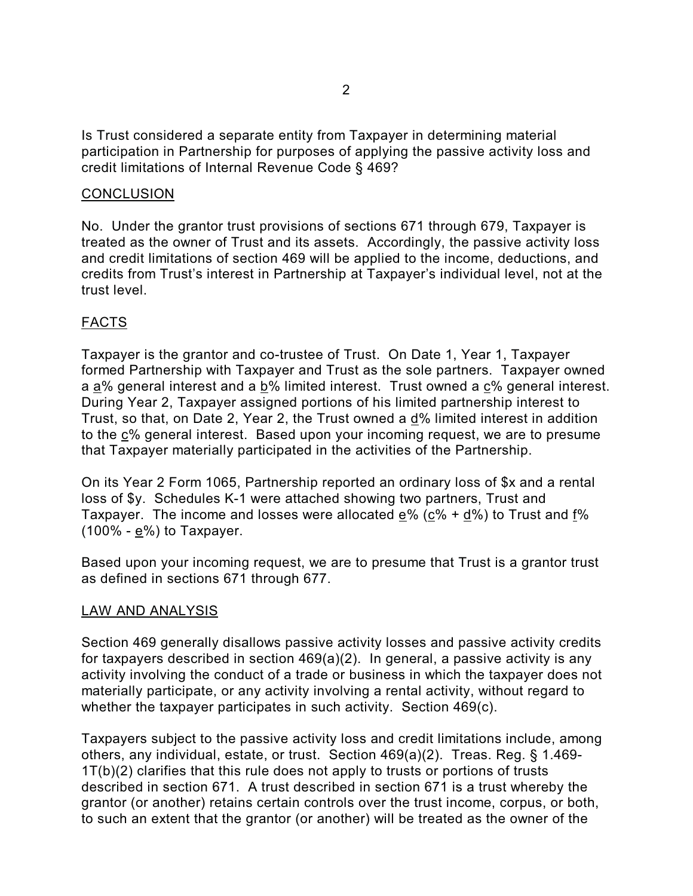Is Trust considered a separate entity from Taxpayer in determining material participation in Partnership for purposes of applying the passive activity loss and credit limitations of Internal Revenue Code § 469?

## **CONCLUSION**

No. Under the grantor trust provisions of sections 671 through 679, Taxpayer is treated as the owner of Trust and its assets. Accordingly, the passive activity loss and credit limitations of section 469 will be applied to the income, deductions, and credits from Trust's interest in Partnership at Taxpayer's individual level, not at the trust level.

# FACTS

Taxpayer is the grantor and co-trustee of Trust. On Date 1, Year 1, Taxpayer formed Partnership with Taxpayer and Trust as the sole partners. Taxpayer owned a a% general interest and a b% limited interest. Trust owned a c% general interest. During Year 2, Taxpayer assigned portions of his limited partnership interest to Trust, so that, on Date 2, Year 2, the Trust owned a d% limited interest in addition to the c% general interest. Based upon your incoming request, we are to presume that Taxpayer materially participated in the activities of the Partnership.

On its Year 2 Form 1065, Partnership reported an ordinary loss of \$x and a rental loss of \$y. Schedules K-1 were attached showing two partners, Trust and Taxpayer. The income and losses were allocated  $e\%$  ( $c\% + d\%$ ) to Trust and  $f\%$ (100% - e%) to Taxpayer.

Based upon your incoming request, we are to presume that Trust is a grantor trust as defined in sections 671 through 677.

### LAW AND ANALYSIS

Section 469 generally disallows passive activity losses and passive activity credits for taxpayers described in section 469(a)(2). In general, a passive activity is any activity involving the conduct of a trade or business in which the taxpayer does not materially participate, or any activity involving a rental activity, without regard to whether the taxpayer participates in such activity. Section 469(c).

Taxpayers subject to the passive activity loss and credit limitations include, among others, any individual, estate, or trust. Section 469(a)(2). Treas. Reg. § 1.469- 1T(b)(2) clarifies that this rule does not apply to trusts or portions of trusts described in section 671. A trust described in section 671 is a trust whereby the grantor (or another) retains certain controls over the trust income, corpus, or both, to such an extent that the grantor (or another) will be treated as the owner of the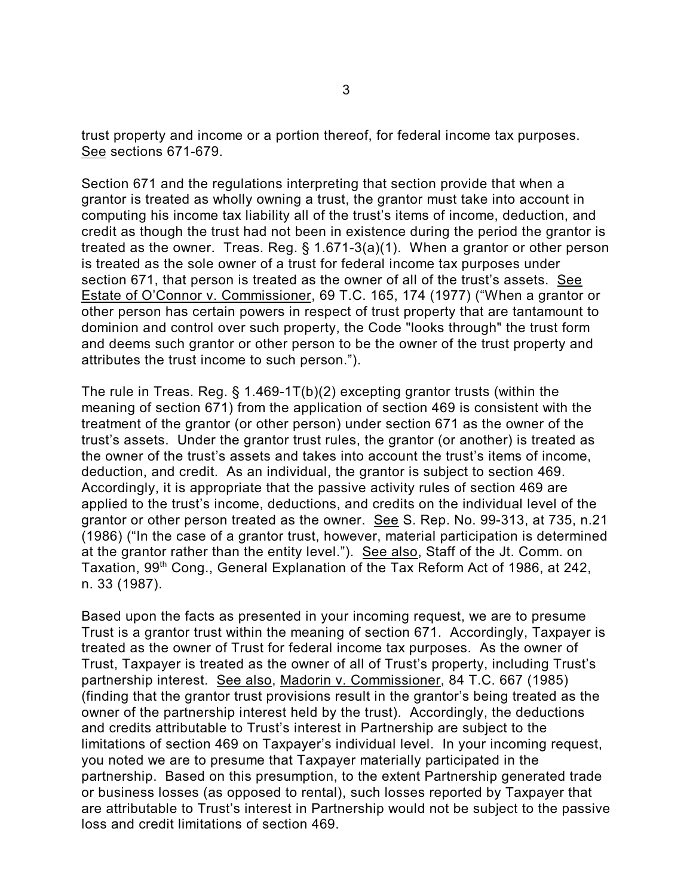trust property and income or a portion thereof, for federal income tax purposes. See sections 671-679.

Section 671 and the regulations interpreting that section provide that when a grantor is treated as wholly owning a trust, the grantor must take into account in computing his income tax liability all of the trust's items of income, deduction, and credit as though the trust had not been in existence during the period the grantor is treated as the owner. Treas. Reg. § 1.671-3(a)(1). When a grantor or other person is treated as the sole owner of a trust for federal income tax purposes under section 671, that person is treated as the owner of all of the trust's assets. See Estate of O'Connor v. Commissioner, 69 T.C. 165, 174 (1977) ("When a grantor or other person has certain powers in respect of trust property that are tantamount to dominion and control over such property, the Code "looks through" the trust form and deems such grantor or other person to be the owner of the trust property and attributes the trust income to such person.").

The rule in Treas. Reg. § 1.469-1T(b)(2) excepting grantor trusts (within the meaning of section 671) from the application of section 469 is consistent with the treatment of the grantor (or other person) under section 671 as the owner of the trust's assets. Under the grantor trust rules, the grantor (or another) is treated as the owner of the trust's assets and takes into account the trust's items of income, deduction, and credit. As an individual, the grantor is subject to section 469. Accordingly, it is appropriate that the passive activity rules of section 469 are applied to the trust's income, deductions, and credits on the individual level of the grantor or other person treated as the owner. See S. Rep. No. 99-313, at 735, n.21 (1986) ("In the case of a grantor trust, however, material participation is determined at the grantor rather than the entity level."). See also, Staff of the Jt. Comm. on Taxation, 99<sup>th</sup> Cong., General Explanation of the Tax Reform Act of 1986, at 242, n. 33 (1987).

Based upon the facts as presented in your incoming request, we are to presume Trust is a grantor trust within the meaning of section 671. Accordingly, Taxpayer is treated as the owner of Trust for federal income tax purposes. As the owner of Trust, Taxpayer is treated as the owner of all of Trust's property, including Trust's partnership interest. See also, Madorin v. Commissioner, 84 T.C. 667 (1985) (finding that the grantor trust provisions result in the grantor's being treated as the owner of the partnership interest held by the trust). Accordingly, the deductions and credits attributable to Trust's interest in Partnership are subject to the limitations of section 469 on Taxpayer's individual level. In your incoming request, you noted we are to presume that Taxpayer materially participated in the partnership. Based on this presumption, to the extent Partnership generated trade or business losses (as opposed to rental), such losses reported by Taxpayer that are attributable to Trust's interest in Partnership would not be subject to the passive loss and credit limitations of section 469.